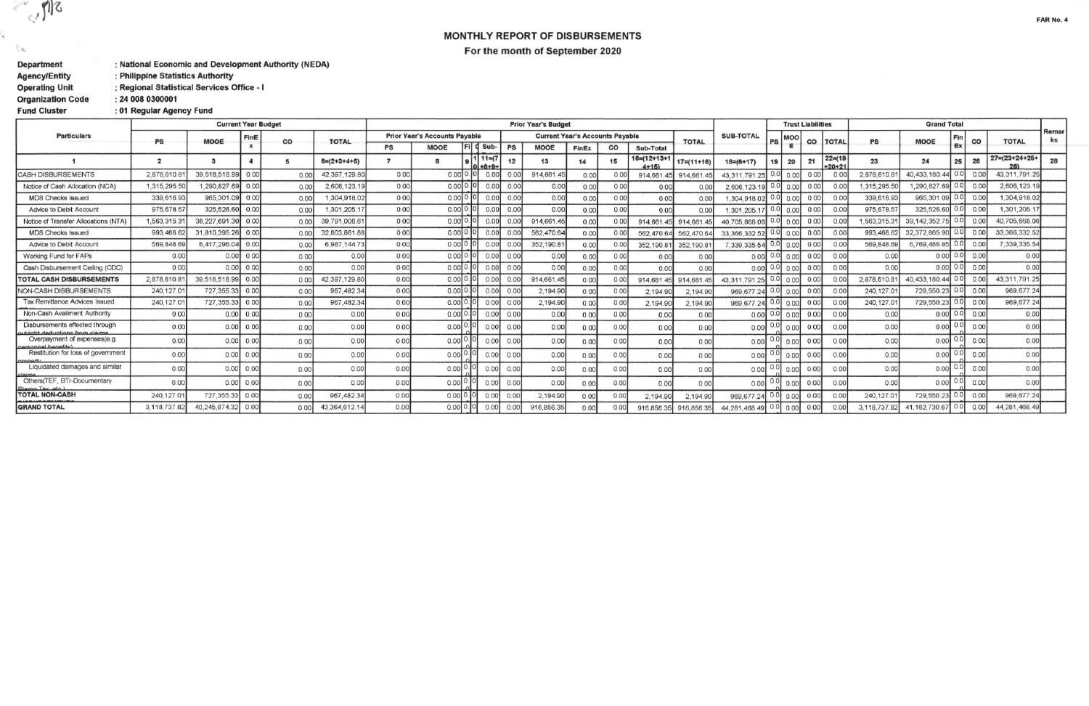MONTHLY REPORT OF DISBURSEMENTS For the month of September 2020

| Department               | : National Economic and Development Authority (NEDA) |
|--------------------------|------------------------------------------------------|
| <b>Agency/Entity</b>     | : Philippine Statistics Authority                    |
| <b>Operating Unit</b>    | : Regional Statistical Services Office - I           |
| <b>Organization Code</b> | : 24 008 0300001                                     |
| <b>Fund Cluster</b>      | : 01 Regular Agency Fund                             |

 $\mathbb{Z}_{\mathbb{C}^2}$ 

 $\xi_{\rm B}$ 

|                                                                |                | <b>Current Year Budget</b> | <b>Prior Year's Budget</b> |      |                |                                      |              |                         |          |           |            |                                        |      | <b>Trust Liabilities</b>   |                  |                      |         | <b>Grand Total</b> |      |                       |              |                   |     |                |                        |             |
|----------------------------------------------------------------|----------------|----------------------------|----------------------------|------|----------------|--------------------------------------|--------------|-------------------------|----------|-----------|------------|----------------------------------------|------|----------------------------|------------------|----------------------|---------|--------------------|------|-----------------------|--------------|-------------------|-----|----------------|------------------------|-------------|
| <b>Particulars</b>                                             | PS             | <b>MOOE</b>                | FinE                       | CO   | <b>TOTAL</b>   | <b>Prior Year's Accounts Payable</b> |              |                         |          |           |            | <b>Current Year's Accounts Payable</b> |      |                            | <b>TOTAL</b>     | <b>SUB-TOTAL</b>     | PS      | MOO                |      | <b>TOTAL</b>          | PS           | <b>MOOE</b>       | Fir | CO             | <b>TOTAL</b>           | Remar<br>ks |
|                                                                |                |                            |                            |      |                | PS                                   | <b>MOOE</b>  |                         | $d$ Sub- | <b>PS</b> | MOOE       | FinEx                                  | CO   | Sub-Total                  |                  |                      |         |                    | co   |                       |              |                   | Ex  |                |                        |             |
|                                                                | $\overline{2}$ | $\mathbf{a}$               |                            | 5    | $6= (2+3+4+5)$ |                                      |              | $1111=7$<br>$0 + 8 + 9$ |          | 12        | 13         | 14                                     | 15   | $16= (12+13+1$<br>$4 + 15$ | $17 = (11 + 16)$ | $18= (6+17)$         | 19      | 20                 | 21   | $22 = (19$<br>$+20+2$ | 23           | 24                | 25  | 26             | $27 = (23 + 24 + 25 +$ | 28          |
| <b>CASH DISBURSEMENTS</b>                                      | 2.878,610.8    | 39,518,518.99              | 0.00                       | 0.00 | 42.397.129.80  | 0.00                                 | 0.0010.101   |                         | 0.00     | 0.00      | 914,661.4  | 0.00                                   | 0.00 | 914,661.                   | 914,661.         | 43,311,791.25        | 0.0     |                    |      | 0.0                   | 2.878,610.8  | 40,433,180.44     | 0.0 | 0.00           | 43.311.791.25          |             |
| Notice of Cash Allocation (NCA)                                | 1,315,295.5    | 290.827.69                 | 0.00                       | 0.00 | 2,606,123.19   | 0.00                                 | $0.00$ 0.0   |                         | 0.00     | 0.00      | 0.00       | 0.00                                   | 0.00 | 0.00                       | 0.0              | 2,606,123.1          | 0.OI    |                    | 0.0  | 0.00                  | 1,315,295.50 | .290.827.69       | 0.0 | 0.00           | 2.606,123.19           |             |
| <b>MDS Checks Issued</b>                                       | 339,616.93     | 965,301.09                 | 0.00                       | 0.00 | 1,304,918.02   | 0.00                                 | $0.00$ $0.0$ |                         | 0.00     | 0.00      | 0.00       | 0.00                                   | 0.00 | 0.00                       | 0.00             | 1.304.918.0          |         | o ool              | 0.00 | 0.00                  | 339,616.93   | 965.301.09        | 0.0 | 0.00           | 1,304,918.02           |             |
| Advice to Debit Account                                        | 975,678.5      | 325,526.60                 | 0.00                       | 0.00 | 1,301,205.1    | 0.00                                 | $0.00$ 0.0   |                         | 0.00     | 0.00      | 0.00       | 0.00                                   | 0.00 | 0.00                       | 0.00             | 1,301,205.           |         |                    | 0.00 | 0.00                  | 975,678.57   | 325,526.60        | 0.0 | 0.00           | 1,301,205.1            |             |
| Notice of Transfer Allocations (NTA)                           | 1,563,315.3    | 38,227,691.30              | 0.00                       | 0.00 | 39,791,006.6   | 0.00                                 | $0.00$ 0.0   |                         | 0.00     | 0.00      | 914.661.4  | 0.00                                   |      | 914,661.45                 | 914.661          | 40.705,668.0         | 0.0     | 0.00               | 0.00 | 0 <sub>0</sub>        | 1,563,315.31 | 39, 142, 352.     |     | 0.00           | 40,705,668.06          |             |
| <b>MDS Checks Issued</b>                                       | 993.466.       | 31,810,395.26              | 0.00                       | 0.00 | 32,803,861.8   | 0.00                                 | 0.00 0.      |                         | 0.00     | 0.00      | 562,470.64 | 0.00                                   | 0.00 | 562,470.64                 | 562,470.6        | 33, 366, 332.5       | 0.0     | 0.00               | 0.00 | 0.00                  | 993,466.     | 32,372,865.9      | 0.0 | 0.00           | 33, 366, 332.52        |             |
| Advice to Debit Account                                        | 569,848.       | 6.417.296.04               | 0.00                       | 0.00 | 6.987.144.73   | 0.00                                 | 0.0010       |                         | 0.00     | 0.00      | 352,190.8  | 0 <sup>0</sup>                         | 0.00 | 352,190.8                  | 352,190.8        | 7.339.335.5          |         | 0.00               | 0.00 | 0 <sub>0</sub>        | 569,848.6    | 6.769.486.8       |     | 0.00           | 7,339,335.54           |             |
| Working Fund for FAPs                                          | 0.00           | 0.00                       | 0.00                       | 0.00 | 0.00           | 0.00                                 | 0.0010.      |                         | 0.00     | 0.00      | 0.00       | 0.00                                   | 0.00 | 0.00                       | 0.00             | 0.00                 |         | 0.00               | 0.00 | 0.00                  | 0.00         | 0.00              | 0.0 | 0.00           | 0.00                   |             |
| Cash Disbursement Ceiling (CDC)                                | 0.00           | 0.00                       | 0.00                       | 0.00 | 0.00           | 0.00                                 | 0.00[0.]     |                         | 0.00     | 0.00      | 0.00       | 0.00                                   | 0.00 | 0.00                       | 0.00             | 0.00                 |         | 0.00               | 0.00 | 0.00                  | 0.00         | 0.00 0.0          |     | 0.00           | 0.00                   |             |
| <b>TOTAL CASH DISBURSEMENTS</b>                                | 2,878,610.8    | 39,518,518.99              | 0.00                       | 0.00 | 42.397.129.80  | 0.00                                 | 0.0010.1     |                         | 0.00     | 0.00      | 914,661.4  | 0.00                                   | 0.00 | 914.661                    | 914.661          | 43.311.791           | 0.0     | 0.00               |      | 0.0                   | 2,878,610.   | 40.433.180.44     |     | 0.00           | 43.311.791.25          |             |
| NON-CASH DISBURSEMENTS                                         | 240.127.0      | 727.355.33                 | 0.00                       | 0.00 | 967, 482.34    | 0.00                                 | 0.0000       |                         | 0.00     | 0.00      | 2.194.90   | 0.00                                   | 0.00 | 2,194.90                   | 2,194.9          | 969.677              | 0.0     | 0.00               | 0.00 | 0.00                  | 240.127.0    | 729.550.23        | 0.0 | 0.00           | 969.677.24             |             |
| <b>Tax Remittance Advices Issued</b>                           | 240,127.0      | 727,355.33                 | 0.00                       | 0.00 | 967,482.34     | 0.00                                 | $0.00$ 0.0   |                         | 0.00     | 0.00      | 2,194.90   | 0.00                                   | 0.00 | 2,194.90                   | 2,194.90         | 969,677.24           | 0.0     | 0.00               | 0.00 | 0.00                  | 240,127.0    | 729,550.23        |     | 0.00           | 969,677.24             |             |
| Non-Cash Availment Authority                                   | 0.00           | 0.00                       | 0.00                       | 0.00 | 0.00           | 0.00                                 | $0.00$ 0.10  |                         | 0.00     | 0.00      | 0.00       | 0.00                                   | 0.00 | 0.00                       | 0.00             | $0.00$ 0.01          |         | 0.00               | 0.00 | 0.00                  | 0.00         | $0.00$ 0.0        |     | 0.00           | 0.00                   |             |
| Disbursements effected through<br>tright deductions from claim | 0.00           | 0.00                       | 0.00                       | 0.00 | 0.00           | 0.00                                 | $0.00$ 0.    |                         | 0.00     | 0.00      | 0.00       | 0.00                                   | 0.00 | 0.00                       | 0.00             | 0.00                 |         | 0.00               |      | 0 <sub>0</sub>        | 0.00         | 0.00              | 0.0 | 0 <sup>0</sup> | 0.00                   |             |
| Overpayment of expenses(e.g.<br>ersonnel henefits              | 0.00           | 0.00                       | 0.00                       | 0.00 | 0.00           | 0.00                                 | 0.00         |                         | 0.00     | 0.00      | 0.00       | 0.00                                   | 0.00 | 0.00                       | 0.00             | 0.00                 | $0.0_1$ | 0.00               | 0.00 | 0.00                  | 0.00         | 0.00              | 0.0 | 0.00           | 0.00                   |             |
| Restitution for loss of government<br>nronart                  | 0.00           | 0.00                       | 0.00                       | 0.00 | 0.00           | 0.00                                 | $0.00$ 0.    |                         | 0.00     | 0.00      | 0.00       | 0.00                                   | 0.00 | 0.00                       | 0.00             | 0.00                 | 0.0     | 0.00               | 0.00 | 0.00                  | 0.00         | 0.00              | 0.0 | 0.00           | 0.00                   |             |
| Liquidated damages and similar<br>claime                       | 0.00           | 0.001                      | 0.00                       | 0.00 | 0.00           | 0.00                                 | 0.00         |                         | 0.00     | 0.00      | 0.00       | 0.00                                   | 0.00 | 0.00                       | 0.00             | 0.00                 |         | 0.00               | 0.00 | 0.00                  | 0.00         | 0.00              |     | 0.00           | 0.00                   |             |
| Others(TEF, BTr-Documentary<br>Stamp Tay_etc.)                 | 0.00           | 0.00                       | 0.00                       | 0.00 | 0.00           | 0.00                                 | 0.00         |                         | 0.00     | 0.00      | 0.00       | 0.00                                   | 0.00 | 0.00                       | 0.00             | 0.00                 |         |                    | 0.00 | 0.00                  | 0.00         | 0.00              |     | 0.00           | 0.00                   |             |
| <b>TOTAL NON-CASH</b>                                          | 240.127.0      | 727,355.33                 | 0.00                       | 0.00 | 967, 482.34    | 0.00                                 | $0.00$ 0.    |                         | 0.00     | 0.00      | 2.194.90   | 0.00                                   | 0.00 | 2,194.90                   | 2,194.90         | 969,677.             | 0.0     |                    | 0.00 | 0.00                  | 240.127.0    | 729,550.2         |     | 0.00           | 969,677.24             |             |
| <b>GRAND TOTAL</b>                                             | 3.118.737.8    | 40,245,874.32              | 0.00                       | 0.00 | 43,364,612.14  | 0.00                                 | $0.00$ 0.0.  |                         | 0.00     | 0.00      | 916,856.3  | 0.00                                   | 0.00 | 916,856.35                 | 916,856.35       | 44, 281, 468. 49 0.0 |         | 0.00               | 0.00 | 0.00                  | 3,118,737.   | 162,730.67<br>41. | 0.0 | 0.00           | 44, 281, 468.49        |             |